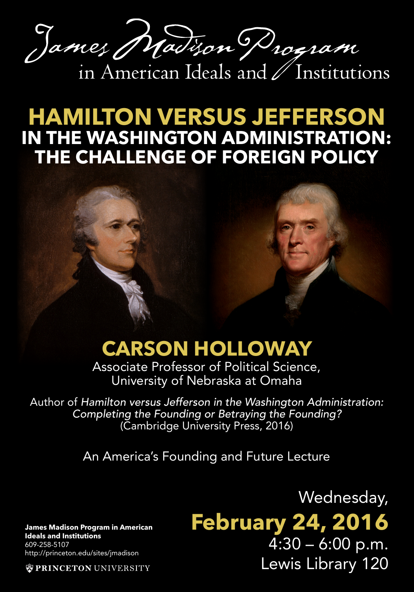James Madison Drogram in American Ideals and / Institutions

**HAMILTON VERSUS JEFFERSON IN THE WASHINGTON ADMINISTRATION: THE CHALLENGE OF FOREIGN POLICY**

## **CARSON HOLLOWAY**

Associate Professor of Political Science, University of Nebraska at Omaha

Author of *Hamilton versus Jefferson in the Washington Administration: Completing the Founding or Betraying the Founding?*  (Cambridge University Press, 2016)

An America's Founding and Future Lecture

**James Madison Program in American Ideals and Institutions** 609-258-5107 http://princeton.edu/sites/jmadison

**WPRINCETON UNIVERSITY** 

Wednesday, **February 24, 2016**  $4:30 - 6:00$  p.m. Lewis Library 120